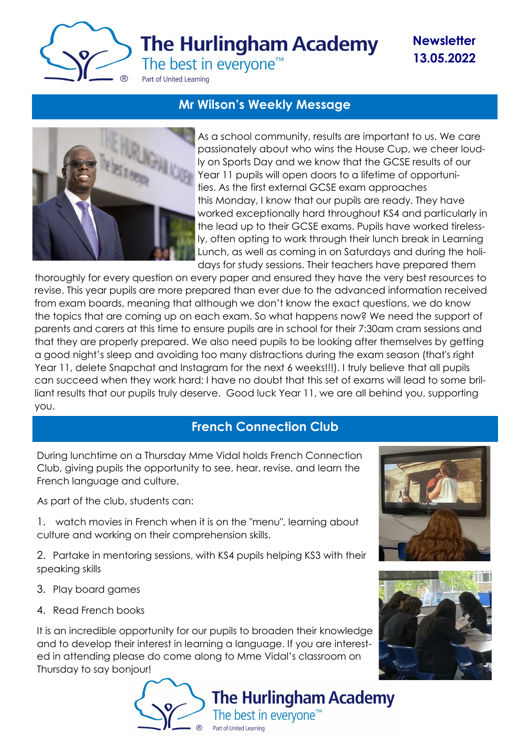

**Newsletter 13.05.2022**

# **Mr Wilson's Weekly Message**



As a school community, results are important to us. We care passionately about who wins the House Cup, we cheer loudly on Sports Day and we know that the GCSE results of our Year 11 pupils will open doors to a lifetime of opportunities. As the first external GCSE exam approaches this Monday, I know that our pupils are ready. They have worked exceptionally hard throughout KS4 and particularly in the lead up to their GCSE exams. Pupils have worked tirelessly, often opting to work through their lunch break in Learning Lunch, as well as coming in on Saturdays and during the holidays for study sessions. Their teachers have prepared them

thoroughly for every question on every paper and ensured they have the very best resources to revise. This year pupils are more prepared than ever due to the advanced information received from exam boards, meaning that although we don't know the exact questions, we do know the topics that are coming up on each exam. So what happens now? We need the support of parents and carers at this time to ensure pupils are in school for their 7:30am cram sessions and that they are properly prepared. We also need pupils to be looking after themselves by getting a good night's sleep and avoiding too many distractions during the exam season (that's right Year 11, delete Snapchat and Instagram for the next 6 weeks!!!). I truly believe that all pupils can succeed when they work hard; I have no doubt that this set of exams will lead to some brilliant results that our pupils truly deserve. Good luck Year 11, we are all behind you, supporting you.

### **French Connection Club**

During lunchtime on a Thursday Mme Vidal holds French Connection Club, giving pupils the opportunity to see, hear, revise, and learn the French language and culture.

As part of the club, students can:

1. watch movies in French when it is on the "menu", learning about culture and working on their comprehension skills.

2. Partake in mentoring sessions, with KS4 pupils helping KS3 with their speaking skills

- 3. Play board games
- 4. Read French books

It is an incredible opportunity for our pupils to broaden their knowledge and to develop their interest in learning a language. If you are interested in attending please do come along to Mme Vidal's classroom on Thursday to say bonjour!





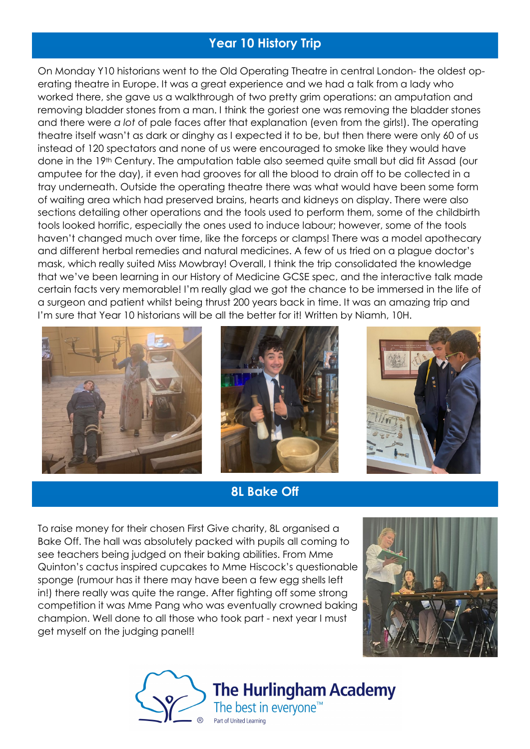## **Year 10 History Trip**

On Monday Y10 historians went to the Old Operating Theatre in central London- the oldest operating theatre in Europe. It was a great experience and we had a talk from a lady who worked there, she gave us a walkthrough of two pretty grim operations: an amputation and removing bladder stones from a man. I think the goriest one was removing the bladder stones and there were *a lot* of pale faces after that explanation (even from the girls!). The operating theatre itself wasn't as dark or dinghy as I expected it to be, but then there were only 60 of us instead of 120 spectators and none of us were encouraged to smoke like they would have done in the 19th Century. The amputation table also seemed quite small but did fit Assad (our amputee for the day), it even had grooves for all the blood to drain off to be collected in a tray underneath. Outside the operating theatre there was what would have been some form of waiting area which had preserved brains, hearts and kidneys on display. There were also sections detailing other operations and the tools used to perform them, some of the childbirth tools looked horrific, especially the ones used to induce labour; however, some of the tools haven't changed much over time, like the forceps or clamps! There was a model apothecary and different herbal remedies and natural medicines. A few of us tried on a plague doctor's mask, which really suited Miss Mowbray! Overall, I think the trip consolidated the knowledge that we've been learning in our History of Medicine GCSE spec, and the interactive talk made certain facts very memorable! I'm really glad we got the chance to be immersed in the life of a surgeon and patient whilst being thrust 200 years back in time. It was an amazing trip and I'm sure that Year 10 historians will be all the better for it! Written by Niamh, 10H.







#### **8L Bake Off**

To raise money for their chosen First Give charity, 8L organised a Bake Off. The hall was absolutely packed with pupils all coming to see teachers being judged on their baking abilities. From Mme Quinton's cactus inspired cupcakes to Mme Hiscock's questionable sponge (rumour has it there may have been a few egg shells left in!) there really was quite the range. After fighting off some strong competition it was Mme Pang who was eventually crowned baking champion. Well done to all those who took part - next year I must get myself on the judging panel!!



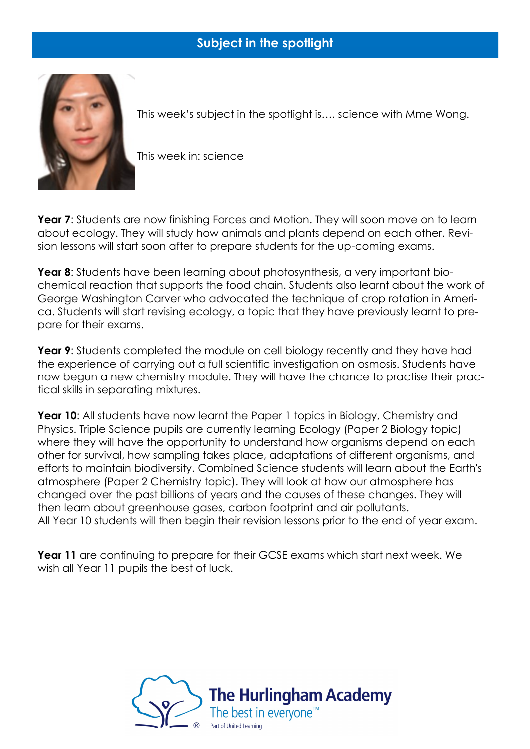## **Subject in the spotlight**



This week's subject in the spotlight is…. science with Mme Wong.

This week in: science

**Year 7:** Students are now finishing Forces and Motion. They will soon move on to learn about ecology. They will study how animals and plants depend on each other. Revision lessons will start soon after to prepare students for the up-coming exams.

**Year 8**: Students have been learning about photosynthesis, a very important biochemical reaction that supports the food chain. Students also learnt about the work of George Washington Carver who advocated the technique of crop rotation in America. Students will start revising ecology, a topic that they have previously learnt to prepare for their exams.

**Year 9:** Students completed the module on cell biology recently and they have had the experience of carrying out a full scientific investigation on osmosis. Students have now begun a new chemistry module. They will have the chance to practise their practical skills in separating mixtures.

**Year 10:** All students have now learnt the Paper 1 topics in Biology, Chemistry and Physics. Triple Science pupils are currently learning Ecology (Paper 2 Biology topic) where they will have the opportunity to understand how organisms depend on each other for survival, how sampling takes place, adaptations of different organisms, and efforts to maintain biodiversity. Combined Science students will learn about the Earth's atmosphere (Paper 2 Chemistry topic). They will look at how our atmosphere has changed over the past billions of years and the causes of these changes. They will then learn about greenhouse gases, carbon footprint and air pollutants. All Year 10 students will then begin their revision lessons prior to the end of year exam.

**Year 11** are continuing to prepare for their GCSE exams which start next week. We wish all Year 11 pupils the best of luck.

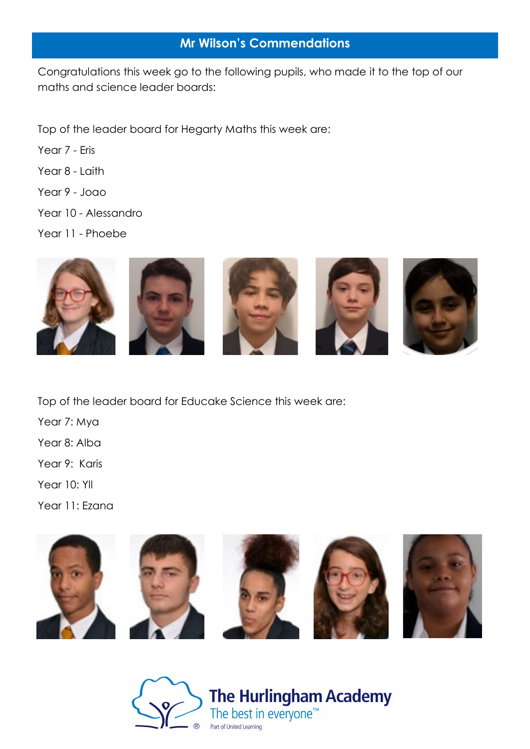### **Mr Wilson's Commendations**

Congratulations this week go to the following pupils, who made it to the top of our maths and science leader boards:

Top of the leader board for Hegarty Maths this week are:

- Year 7 Eris
- Year 8 Laith
- Year 9 Joao
- Year 10 Alessandro
- Year 11 Phoebe



Top of the leader board for Educake Science this week are:

Year 7: Mya

Year 8: Alba

Year 9: Karis

Year 10: Yll

Year 11: Ezana